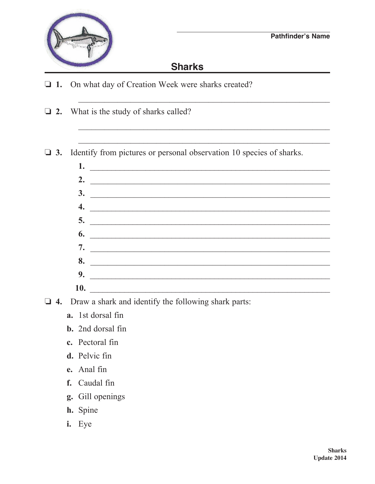

## **Sharks**

- $\Box$  1. On what day of Creation Week were sharks created?
- $\Box$  2. What is the study of sharks called?

Identify from pictures or personal observation 10 species of sharks.  $\Box$  3.

- $1.$   $\overline{\phantom{a}}$ 2.  $\qquad \qquad$  $\overline{\mathbf{3.}}$  $\overline{\mathcal{A}}$ .  $\overline{\phantom{a}}$  5.  $\overline{\phantom{a}}$  6.  $9.$  $10.$
- $\Box$  4. Draw a shark and identify the following shark parts:
	- a. 1st dorsal fin
	- **b.** 2nd dorsal fin
	- c. Pectoral fin
	- d. Pelvic fin
	- e. Anal fin
	- f. Caudal fin
	- g. Gill openings
	- h. Spine
	- i. Eye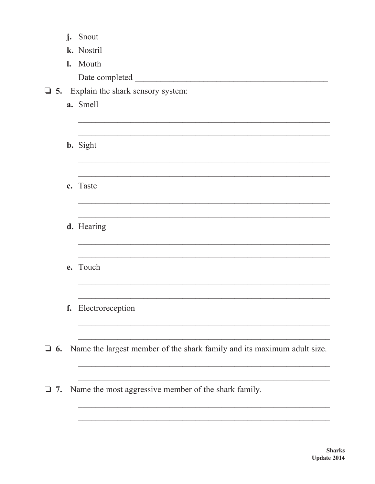|              | j. | Snout                                                                   |
|--------------|----|-------------------------------------------------------------------------|
|              |    | k. Nostril                                                              |
|              |    | I. Mouth                                                                |
|              |    | Date completed                                                          |
|              |    | $\Box$ 5. Explain the shark sensory system:                             |
|              |    | a. Smell                                                                |
|              |    |                                                                         |
|              |    |                                                                         |
|              |    | <b>b.</b> Sight                                                         |
|              |    |                                                                         |
|              |    |                                                                         |
|              |    | c. Taste                                                                |
|              |    |                                                                         |
|              |    |                                                                         |
|              |    | d. Hearing                                                              |
|              |    |                                                                         |
|              |    |                                                                         |
|              |    | e. Touch                                                                |
|              |    |                                                                         |
|              |    | f. Electroreception                                                     |
|              |    |                                                                         |
|              |    |                                                                         |
| $\Box$<br>6. |    | Name the largest member of the shark family and its maximum adult size. |
|              |    |                                                                         |
|              |    |                                                                         |
| 7.           |    | Name the most aggressive member of the shark family.                    |
|              |    |                                                                         |
|              |    |                                                                         |
|              |    |                                                                         |